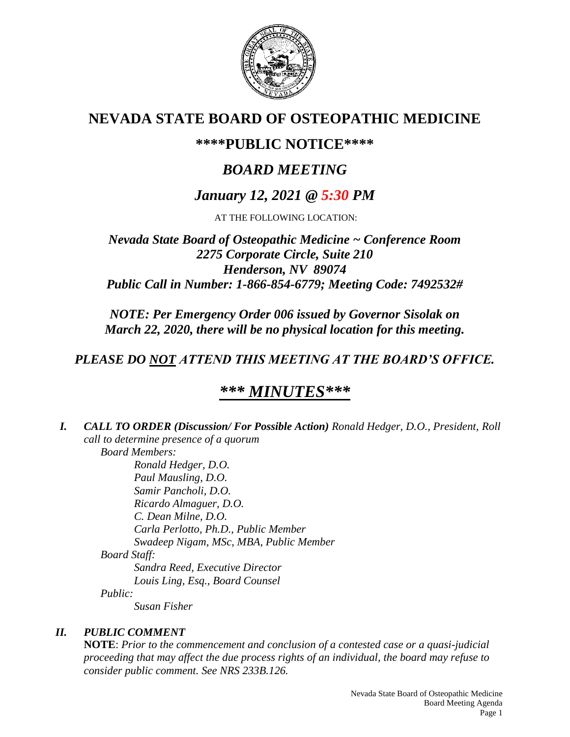

# **NEVADA STATE BOARD OF OSTEOPATHIC MEDICINE**

## **\*\*\*\*PUBLIC NOTICE\*\*\*\***

# *BOARD MEETING*

## *January 12, 2021 @ 5:30 PM*

AT THE FOLLOWING LOCATION:

## *Nevada State Board of Osteopathic Medicine ~ Conference Room 2275 Corporate Circle, Suite 210 Henderson, NV 89074 Public Call in Number: 1-866-854-6779; Meeting Code: 7492532#*

*NOTE: Per Emergency Order 006 issued by Governor Sisolak on March 22, 2020, there will be no physical location for this meeting.*

## *PLEASE DO NOT ATTEND THIS MEETING AT THE BOARD'S OFFICE.*

# *\*\*\* MINUTES\*\*\**

*I. CALL TO ORDER (Discussion/ For Possible Action) Ronald Hedger, D.O., President, Roll call to determine presence of a quorum Board Members: Ronald Hedger, D.O.*

*Paul Mausling, D.O. Samir Pancholi, D.O. Ricardo Almaguer, D.O. C. Dean Milne, D.O. Carla Perlotto, Ph.D., Public Member Swadeep Nigam, MSc, MBA, Public Member Board Staff: Sandra Reed, Executive Director Louis Ling, Esq., Board Counsel Public: Susan Fisher*

### *II. PUBLIC COMMENT*

**NOTE**: *Prior to the commencement and conclusion of a contested case or a quasi-judicial proceeding that may affect the due process rights of an individual, the board may refuse to consider public comment. See NRS 233B.126.*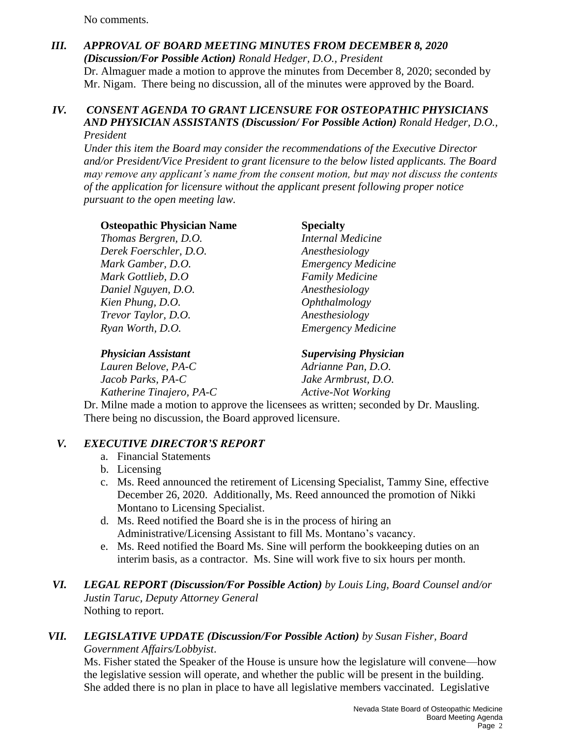No comments.

## *III. APPROVAL OF BOARD MEETING MINUTES FROM DECEMBER 8, 2020 (Discussion/For Possible Action) Ronald Hedger, D.O., President* Dr. Almaguer made a motion to approve the minutes from December 8, 2020; seconded by Mr. Nigam. There being no discussion, all of the minutes were approved by the Board.

#### *IV. CONSENT AGENDA TO GRANT LICENSURE FOR OSTEOPATHIC PHYSICIANS AND PHYSICIAN ASSISTANTS (Discussion/ For Possible Action) Ronald Hedger, D.O., President*

*Under this item the Board may consider the recommendations of the Executive Director and/or President/Vice President to grant licensure to the below listed applicants. The Board may remove any applicant's name from the consent motion, but may not discuss the contents of the application for licensure without the applicant present following proper notice pursuant to the open meeting law.*

### **Osteopathic Physician Name Specialty** *Thomas Bergren, D.O. Internal Medicine Derek Foerschler, D.O. Anesthesiology*

*Mark Gamber, D.O. Emergency Medicine Mark Gottlieb, D.O Family Medicine Daniel Nguyen, D.O. Anesthesiology Kien Phung, D.O. Ophthalmology Trevor Taylor, D.O. Anesthesiology Ryan Worth, D.O. Emergency Medicine*

*Physician Assistant Supervising Physician Lauren Belove, PA-C Adrianne Pan, D.O. Jacob Parks, PA-C Jake Armbrust, D.O. Katherine Tinajero, PA-C Active-Not Working* 

Dr. Milne made a motion to approve the licensees as written; seconded by Dr. Mausling. There being no discussion, the Board approved licensure.

## *V. EXECUTIVE DIRECTOR'S REPORT*

- a. Financial Statements
- b. Licensing
- c. Ms. Reed announced the retirement of Licensing Specialist, Tammy Sine, effective December 26, 2020. Additionally, Ms. Reed announced the promotion of Nikki Montano to Licensing Specialist.
- d. Ms. Reed notified the Board she is in the process of hiring an Administrative/Licensing Assistant to fill Ms. Montano's vacancy.
- e. Ms. Reed notified the Board Ms. Sine will perform the bookkeeping duties on an interim basis, as a contractor. Ms. Sine will work five to six hours per month.
- *VI. LEGAL REPORT (Discussion/For Possible Action) by Louis Ling, Board Counsel and/or Justin Taruc, Deputy Attorney General* Nothing to report.

### *VII. LEGISLATIVE UPDATE (Discussion/For Possible Action) by Susan Fisher, Board Government Affairs/Lobbyist*.

Ms. Fisher stated the Speaker of the House is unsure how the legislature will convene—how the legislative session will operate, and whether the public will be present in the building. She added there is no plan in place to have all legislative members vaccinated. Legislative